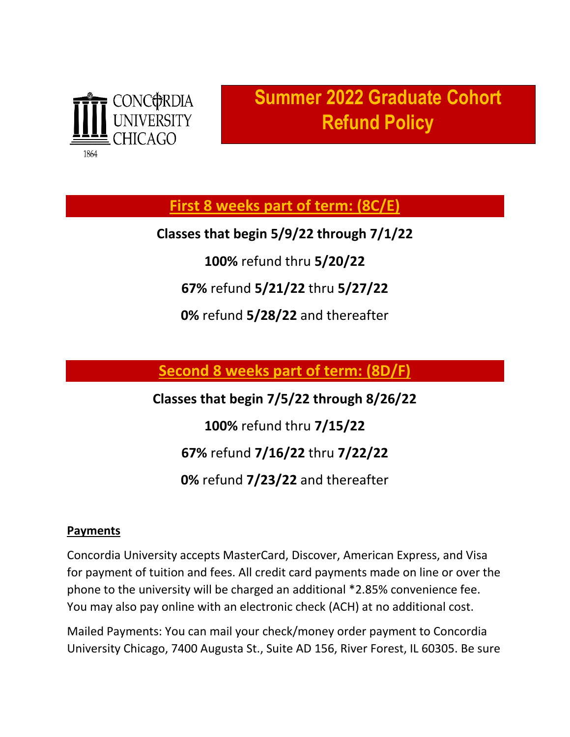

## **Summer 2022 Graduate Cohort Refund Policy**

**First 8 weeks part of term: (8C/E)**

**Classes that begin 5/9/22 through 7/1/22**

**100%** refund thru **5/20/22**

**67%** refund **5/21/22** thru **5/27/22**

**0%** refund **5/28/22** and thereafter

**Second 8 weeks part of term: (8D/F)**

**Classes that begin 7/5/22 through 8/26/22 100%** refund thru **7/15/22 67%** refund **7/16/22** thru **7/22/22 0%** refund **7/23/22** and thereafter

## **Payments**

Concordia University accepts MasterCard, Discover, American Express, and Visa for payment of tuition and fees. All credit card payments made on line or over the phone to the university will be charged an additional \*2.85% convenience fee. You may also pay online with an electronic check (ACH) at no additional cost.

Mailed Payments: You can mail your check/money order payment to Concordia University Chicago, 7400 Augusta St., Suite AD 156, River Forest, IL 60305. Be sure